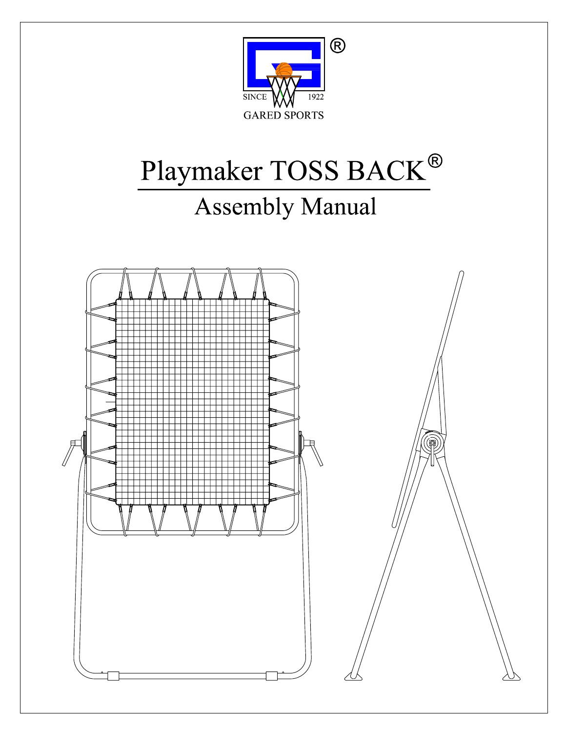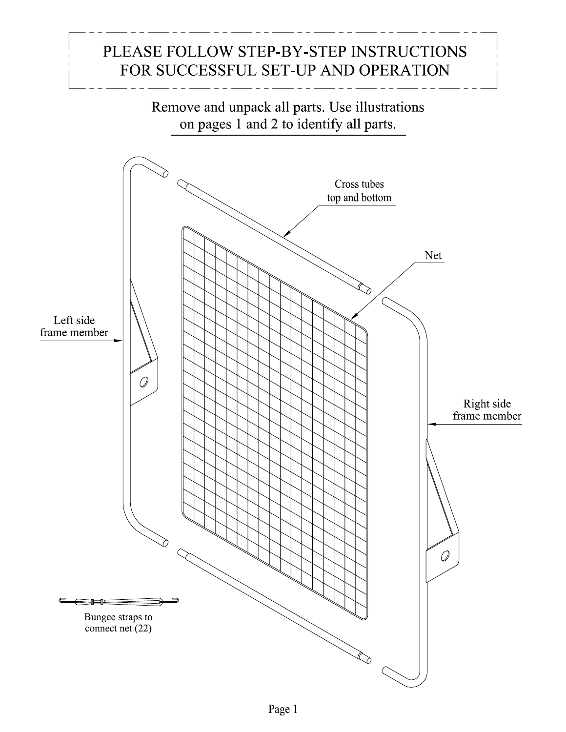## PLEASE FOLLOW STEP-BY-STEP INSTRUCTIONS FOR SUCCESSFUL SET-UP AND OPERATION

Remove and unpack all parts. Use illustrations on pages 1 and 2 to identify all parts. Cross tubes top and bottom Net .λ Left side frame member  $\overline{O}$ Right side<br>frame member  $\mathcal{Q}$ Bungee straps to connect net (22)  $\bigotimes$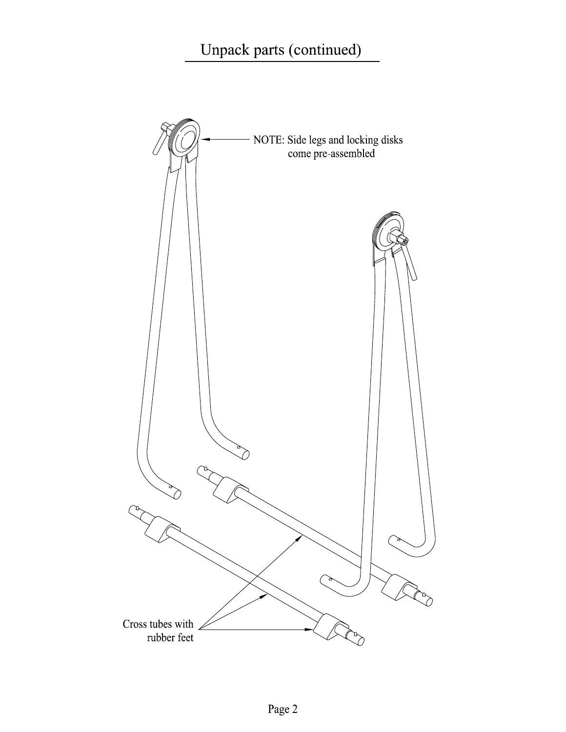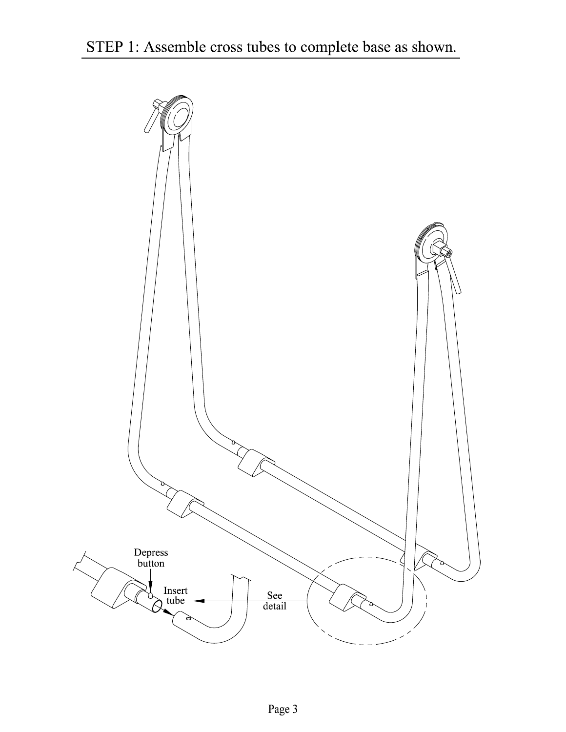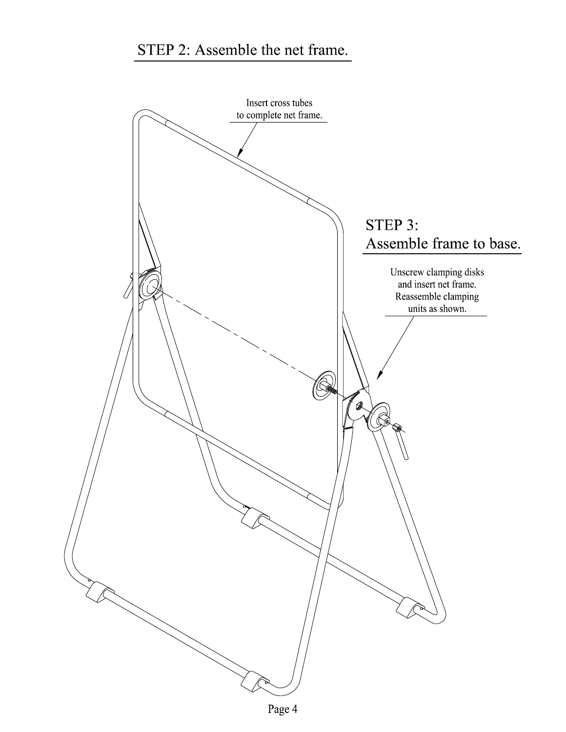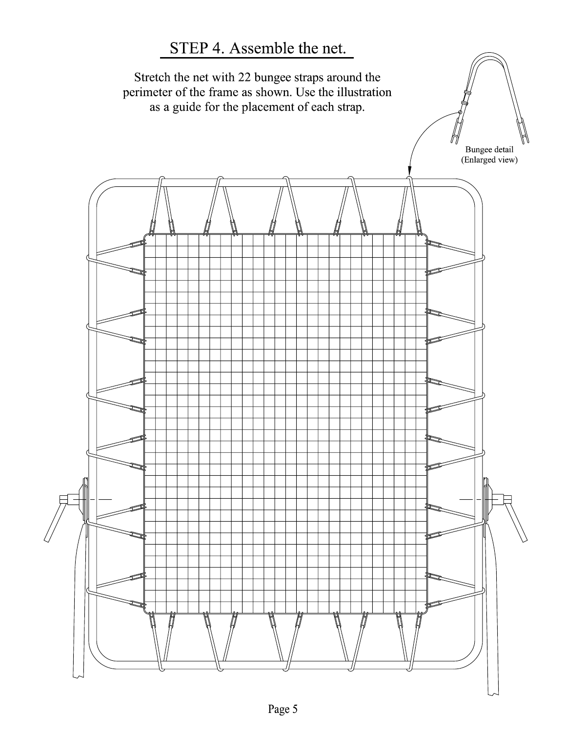## STEP 4. Assemble the net.

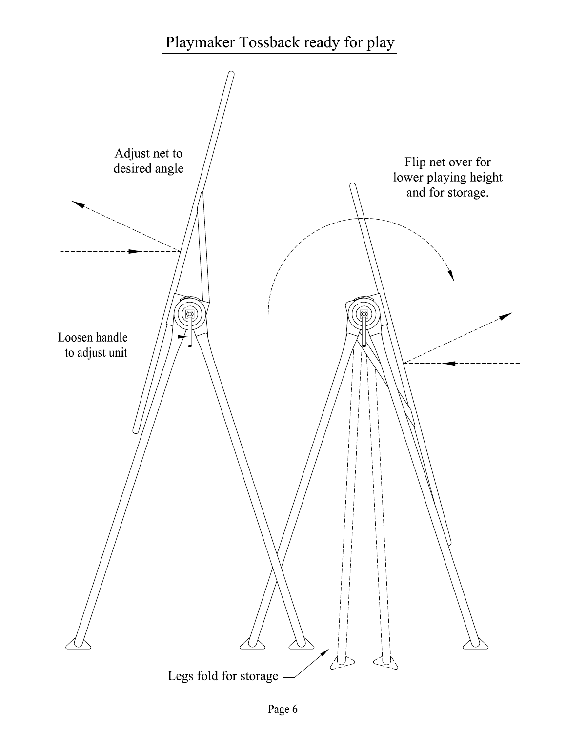## Playmaker Tossback ready for play